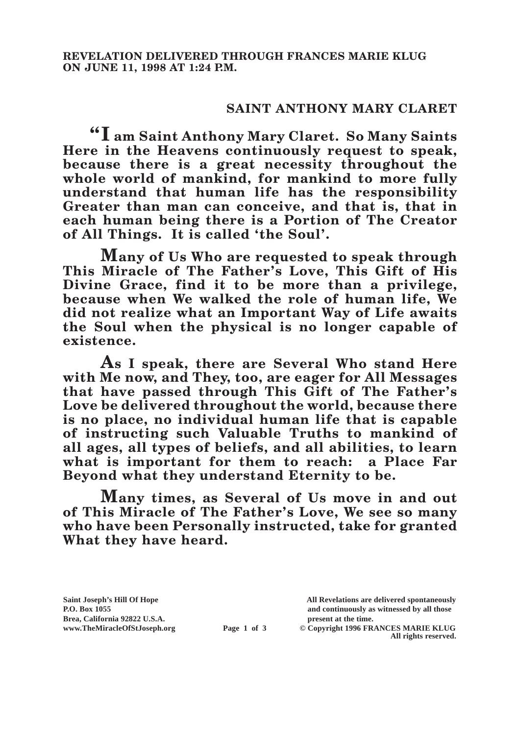## **SAINT ANTHONY MARY CLARET**

**"I am Saint Anthony Mary Claret. So Many Saints Here in the Heavens continuously request to speak, because there is a great necessity throughout the whole world of mankind, for mankind to more fully understand that human life has the responsibility Greater than man can conceive, and that is, that in each human being there is a Portion of The Creator of All Things. It is called 'the Soul'.**

**Many of Us Who are requested to speak through This Miracle of The Father's Love, This Gift of His Divine Grace, find it to be more than a privilege, because when We walked the role of human life, We did not realize what an Important Way of Life awaits the Soul when the physical is no longer capable of existence.**

**As I speak, there are Several Who stand Here with Me now, and They, too, are eager for All Messages that have passed through This Gift of The Father's Love be delivered throughout the world, because there is no place, no individual human life that is capable of instructing such Valuable Truths to mankind of all ages, all types of beliefs, and all abilities, to learn what is important for them to reach: a Place Far Beyond what they understand Eternity to be.**

**Many times, as Several of Us move in and out of This Miracle of The Father's Love, We see so many who have been Personally instructed, take for granted What they have heard.**

Brea, California 92822 U.S.A.<br>
www.TheMiracleOfStJoseph.org<br> **Page 1 of 3** © Copyright 1996 FR.

**Saint Joseph's Hill Of Hope All Revelations are delivered spontaneously P.O. Box 1055 and continuously as witnessed by all those** 

**Page 1 of 3** © Copyright 1996 FRANCES MARIE KLUG **All rights reserved.**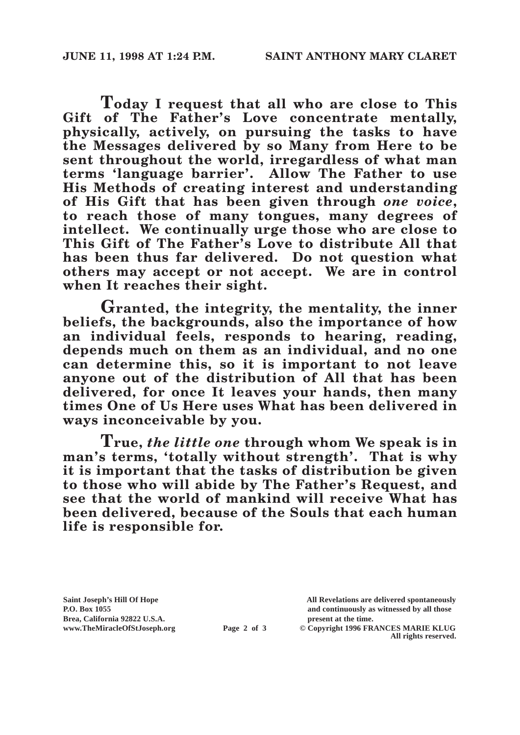**Today I request that all who are close to This Gift of The Father's Love concentrate mentally, physically, actively, on pursuing the tasks to have the Messages delivered by so Many from Here to be sent throughout the world, irregardless of what man terms 'language barrier'. Allow The Father to use His Methods of creating interest and understanding of His Gift that has been given through** *one voice***, to reach those of many tongues, many degrees of intellect. We continually urge those who are close to This Gift of The Father's Love to distribute All that has been thus far delivered. Do not question what others may accept or not accept. We are in control**  when It reaches their sight.

**Granted, the integrity, the mentality, the inner beliefs, the backgrounds, also the importance of how an individual feels, responds to hearing, reading, depends much on them as an individual, and no one can determine this, so it is important to not leave anyone out of the distribution of All that has been delivered, for once It leaves your hands, then many times One of Us Here uses What has been delivered in ways inconceivable by you.**

**True,** *the little one* **through whom We speak is in man's terms, 'totally without strength'. That is why it is important that the tasks of distribution be given to those who will abide by The Father's Request, and see that the world of mankind will receive What has been delivered, because of the Souls that each human life is responsible for.**

Brea, California 92822 U.S.A.<br>
www.TheMiracleOfStJoseph.org<br> **Page 2 of 3** © Copyright 1996 FR.

**Saint Joseph's Hill Of Hope All Revelations are delivered spontaneously P.O. Box 1055 and continuously as witnessed by all those** 

**Page 2 of 3** © Copyright 1996 FRANCES MARIE KLUG **All rights reserved.**